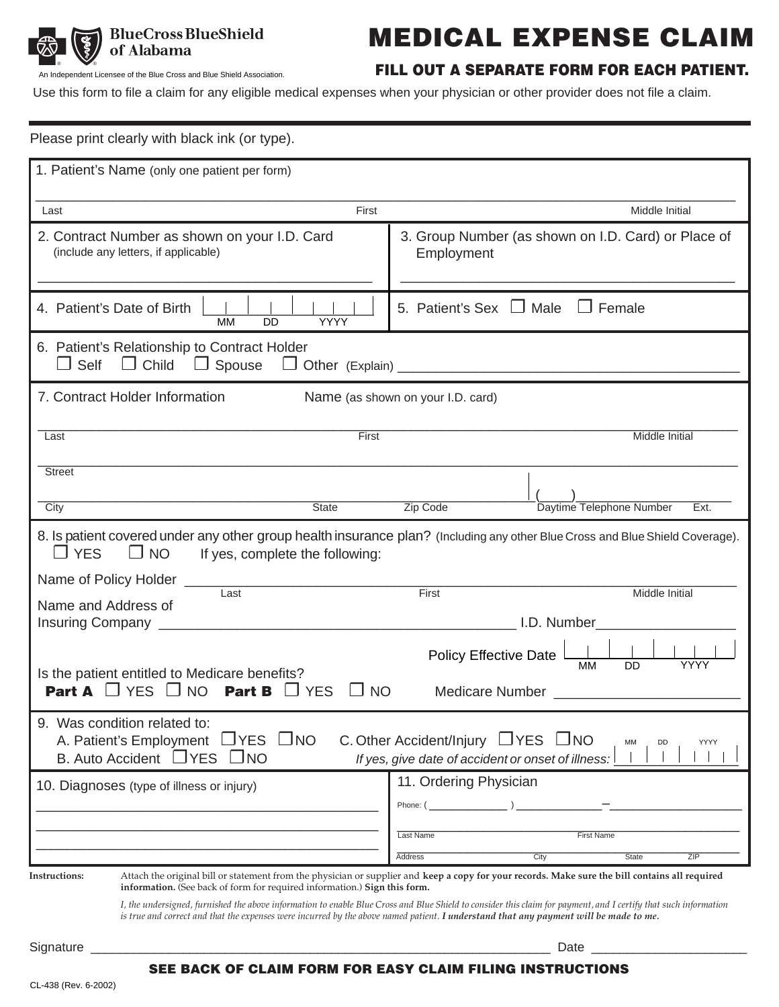

# **MEDICAL EXPENSE CLAIM**

An Independent Licensee of the Blue Cross and Blue Shield Association.

# **FILL OUT A SEPARATE FORM FOR EACH PATIENT.**

Use this form to file a claim for any eligible medical expenses when your physician or other provider does not file a claim.

| Please print clearly with black ink (or type).                                                                                                                                                                                                                                                            |                                                                   |
|-----------------------------------------------------------------------------------------------------------------------------------------------------------------------------------------------------------------------------------------------------------------------------------------------------------|-------------------------------------------------------------------|
| 1. Patient's Name (only one patient per form)                                                                                                                                                                                                                                                             |                                                                   |
| First<br>Last                                                                                                                                                                                                                                                                                             | <b>Middle Initial</b>                                             |
| 2. Contract Number as shown on your I.D. Card<br>(include any letters, if applicable)                                                                                                                                                                                                                     | 3. Group Number (as shown on I.D. Card) or Place of<br>Employment |
| 4. Patient's Date of Birth<br><b>YYYY</b><br><b>MM</b><br>DD                                                                                                                                                                                                                                              | 5. Patient's Sex $\Box$ Male $\Box$ Female                        |
| 6. Patient's Relationship to Contract Holder<br>$\Box$ Self<br>$\Box$ Child<br>$\Box$ Spouse                                                                                                                                                                                                              |                                                                   |
| 7. Contract Holder Information                                                                                                                                                                                                                                                                            | Name (as shown on your I.D. card)                                 |
| First<br>Last                                                                                                                                                                                                                                                                                             | Middle Initial                                                    |
| <b>Street</b>                                                                                                                                                                                                                                                                                             |                                                                   |
| <b>State</b><br>City                                                                                                                                                                                                                                                                                      | Daytime Telephone Number<br>Zip Code<br>Ext.                      |
| 8. Is patient covered under any other group health insurance plan? (Including any other Blue Cross and Blue Shield Coverage).<br>$\Box$ YES<br>$\Box$ NO<br>If yes, complete the following:                                                                                                               |                                                                   |
| Name of Policy Holder ____<br>Last<br>Name and Address of                                                                                                                                                                                                                                                 | First<br>Middle Initial                                           |
| <b>Insuring Company</b>                                                                                                                                                                                                                                                                                   | I.D. Number                                                       |
| <b>Policy Effective Date</b><br><b>MM</b><br><b>DD</b><br>YYYY<br>Is the patient entitled to Medicare benefits?                                                                                                                                                                                           |                                                                   |
| Part A $\Box$ YES $\Box$ NO<br><b>Part B</b><br><b>YES</b><br><b>NO</b><br><b>Medicare Number</b><br>$\Box$                                                                                                                                                                                               |                                                                   |
| 9. Was condition related to:<br>A. Patient's Employment □ YES □ NO<br>C. Other Accident/Injury $\Box$ YES $\Box$ NO<br>MM<br>DD<br>YYYY<br>B. Auto Accident □ YES □ NO<br>If yes, give date of accident or onset of illness:                                                                              |                                                                   |
| 10. Diagnoses (type of illness or injury)                                                                                                                                                                                                                                                                 | 11. Ordering Physician                                            |
|                                                                                                                                                                                                                                                                                                           | Phone: $($                                                        |
|                                                                                                                                                                                                                                                                                                           | Last Name<br><b>First Name</b>                                    |
|                                                                                                                                                                                                                                                                                                           | City<br>ZIP<br>Address<br>State                                   |
| Attach the original bill or statement from the physician or supplier and keep a copy for your records. Make sure the bill contains all required<br><b>Instructions:</b><br>information. (See back of form for required information.) Sign this form.                                                      |                                                                   |
| I, the undersigned, furnished the above information to enable Blue Cross and Blue Shield to consider this claim for payment, and I certify that such information<br>is true and correct and that the expenses were incurred by the above named patient. I understand that any payment will be made to me. |                                                                   |
|                                                                                                                                                                                                                                                                                                           |                                                                   |

#### **SEE BACK OF CLAIM FORM FOR EASY CLAIM FILING INSTRUCTIONS**